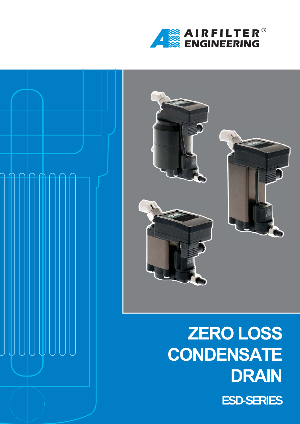